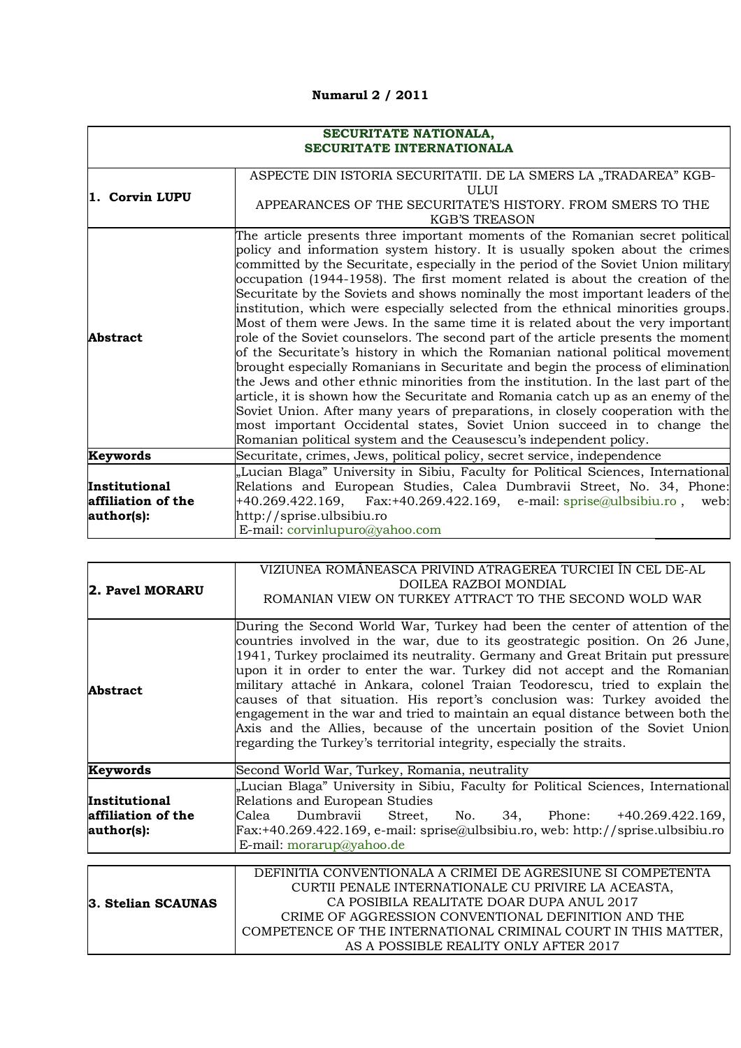## **Numarul 2 / 2011**

| SECURITATE NATIONALA,<br><b>SECURITATE INTERNATIONALA</b> |                                                                                                                                                                                                                                                                                                                                                                                                                                                                                                                                                                                                                                                                                                                                                                                                                                                                                                                                                                                                                                                                                                                                                                                                                                                                     |
|-----------------------------------------------------------|---------------------------------------------------------------------------------------------------------------------------------------------------------------------------------------------------------------------------------------------------------------------------------------------------------------------------------------------------------------------------------------------------------------------------------------------------------------------------------------------------------------------------------------------------------------------------------------------------------------------------------------------------------------------------------------------------------------------------------------------------------------------------------------------------------------------------------------------------------------------------------------------------------------------------------------------------------------------------------------------------------------------------------------------------------------------------------------------------------------------------------------------------------------------------------------------------------------------------------------------------------------------|
| 1. Corvin LUPU                                            | ASPECTE DIN ISTORIA SECURITATII. DE LA SMERS LA "TRADAREA" KGB-<br>ULUI<br>APPEARANCES OF THE SECURITATE'S HISTORY. FROM SMERS TO THE<br><b>KGB'S TREASON</b>                                                                                                                                                                                                                                                                                                                                                                                                                                                                                                                                                                                                                                                                                                                                                                                                                                                                                                                                                                                                                                                                                                       |
| <b>Abstract</b>                                           | The article presents three important moments of the Romanian secret political<br>policy and information system history. It is usually spoken about the crimes<br>committed by the Securitate, especially in the period of the Soviet Union military<br>occupation (1944-1958). The first moment related is about the creation of the<br>Securitate by the Soviets and shows nominally the most important leaders of the<br>institution, which were especially selected from the ethnical minorities groups.<br>Most of them were Jews. In the same time it is related about the very important<br>role of the Soviet counselors. The second part of the article presents the moment<br>of the Securitate's history in which the Romanian national political movement<br>brought especially Romanians in Securitate and begin the process of elimination<br>the Jews and other ethnic minorities from the institution. In the last part of the<br>article, it is shown how the Securitate and Romania catch up as an enemy of the<br>Soviet Union. After many years of preparations, in closely cooperation with the<br>most important Occidental states, Soviet Union succeed in to change the<br>Romanian political system and the Ceausescu's independent policy. |
| Keywords                                                  | Securitate, crimes, Jews, political policy, secret service, independence                                                                                                                                                                                                                                                                                                                                                                                                                                                                                                                                                                                                                                                                                                                                                                                                                                                                                                                                                                                                                                                                                                                                                                                            |
| Institutional<br>affiliation of the<br>author(s):         | "Lucian Blaga" University in Sibiu, Faculty for Political Sciences, International<br>Relations and European Studies, Calea Dumbravii Street, No. 34, Phone:<br>+40.269.422.169, Fax:+40.269.422.169, e-mail: sprise@ulbsibiu.ro, web:<br>http://sprise.ulbsibiu.ro<br>E-mail: corvinlupuro@yahoo.com                                                                                                                                                                                                                                                                                                                                                                                                                                                                                                                                                                                                                                                                                                                                                                                                                                                                                                                                                                |

| 2. Pavel MORARU                                   | VIZIUNEA ROMÂNEASCA PRIVIND ATRAGEREA TURCIEI ÎN CEL DE-AL<br>DOILEA RAZBOI MONDIAL<br>ROMANIAN VIEW ON TURKEY ATTRACT TO THE SECOND WOLD WAR                                                                                                                                                                                                                                                                                                                                                                                                                                                                                                                                                                                   |
|---------------------------------------------------|---------------------------------------------------------------------------------------------------------------------------------------------------------------------------------------------------------------------------------------------------------------------------------------------------------------------------------------------------------------------------------------------------------------------------------------------------------------------------------------------------------------------------------------------------------------------------------------------------------------------------------------------------------------------------------------------------------------------------------|
| <b>Abstract</b>                                   | During the Second World War, Turkey had been the center of attention of the<br>countries involved in the war, due to its geostrategic position. On 26 June,<br>1941, Turkey proclaimed its neutrality. Germany and Great Britain put pressure<br>upon it in order to enter the war. Turkey did not accept and the Romanian<br>military attaché in Ankara, colonel Traian Teodorescu, tried to explain the<br>causes of that situation. His report's conclusion was: Turkey avoided the<br>engagement in the war and tried to maintain an equal distance between both the<br>Axis and the Allies, because of the uncertain position of the Soviet Union<br>regarding the Turkey's territorial integrity, especially the straits. |
| Keywords                                          | Second World War, Turkey, Romania, neutrality                                                                                                                                                                                                                                                                                                                                                                                                                                                                                                                                                                                                                                                                                   |
| Institutional<br>affiliation of the<br>author(s): | "Lucian Blaga" University in Sibiu, Faculty for Political Sciences, International<br>Relations and European Studies<br>Calea<br>Dumbravii<br>Street, No. 34, Phone: +40.269.422.169,<br>Fax:+40.269.422.169, e-mail: sprise@ulbsibiu.ro, web: http://sprise.ulbsibiu.ro<br>E-mail: morarup@yahoo.de                                                                                                                                                                                                                                                                                                                                                                                                                             |
|                                                   |                                                                                                                                                                                                                                                                                                                                                                                                                                                                                                                                                                                                                                                                                                                                 |
| 3. Stelian SCAUNAS                                | DEFINITIA CONVENTIONALA A CRIMEI DE AGRESIUNE SI COMPETENTA<br>CURTII PENALE INTERNATIONALE CU PRIVIRE LA ACEASTA,<br>CA POSIBILA REALITATE DOAR DUPA ANUL 2017<br>CRIME OF AGGRESSION CONVENTIONAL DEFINITION AND THE<br>COMPETENCE OF THE INTERNATIONAL CRIMINAL COURT IN THIS MATTER,<br>AS A POSSIBLE REALITY ONLY AFTER 2017                                                                                                                                                                                                                                                                                                                                                                                               |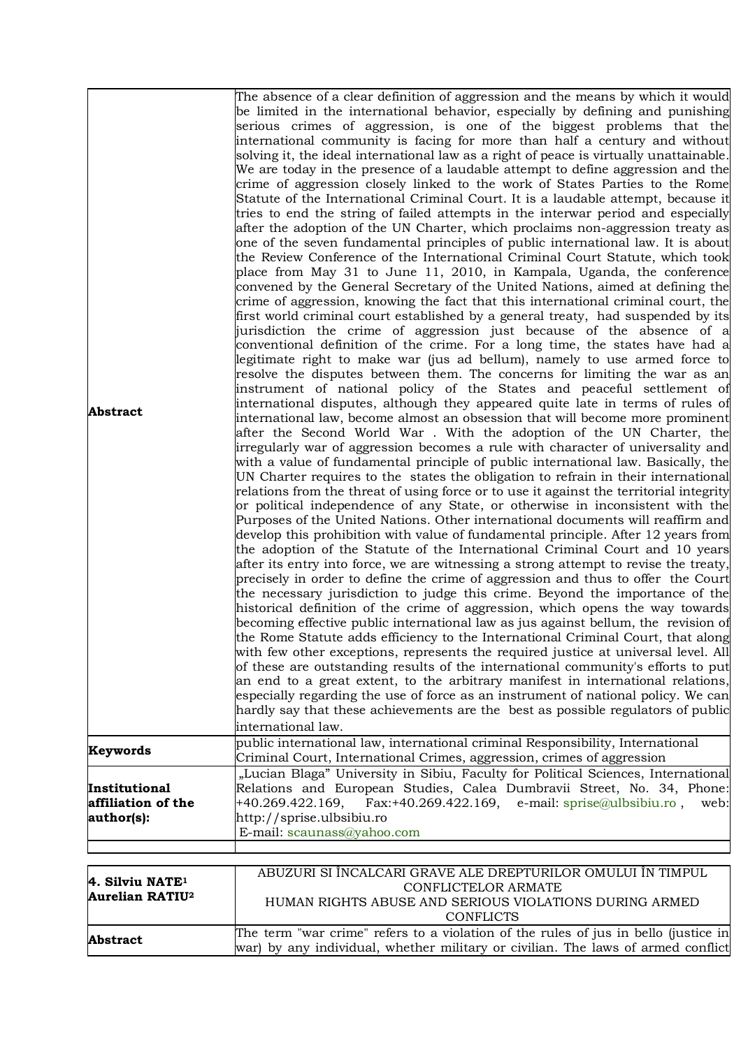| <b>Abstract</b>                                                  | The absence of a clear definition of aggression and the means by which it would<br>be limited in the international behavior, especially by defining and punishing<br>serious crimes of aggression, is one of the biggest problems that the<br>international community is facing for more than half a century and without<br>solving it, the ideal international law as a right of peace is virtually unattainable.<br>We are today in the presence of a laudable attempt to define aggression and the<br>crime of aggression closely linked to the work of States Parties to the Rome<br>Statute of the International Criminal Court. It is a laudable attempt, because it<br>tries to end the string of failed attempts in the interwar period and especially<br>after the adoption of the UN Charter, which proclaims non-aggression treaty as<br>one of the seven fundamental principles of public international law. It is about<br>the Review Conference of the International Criminal Court Statute, which took<br>place from May 31 to June 11, 2010, in Kampala, Uganda, the conference<br>convened by the General Secretary of the United Nations, aimed at defining the<br>crime of aggression, knowing the fact that this international criminal court, the<br>first world criminal court established by a general treaty, had suspended by its<br>jurisdiction the crime of aggression just because of the absence of a<br>conventional definition of the crime. For a long time, the states have had a<br>legitimate right to make war (jus ad bellum), namely to use armed force to<br>resolve the disputes between them. The concerns for limiting the war as an<br>instrument of national policy of the States and peaceful settlement of<br>international disputes, although they appeared quite late in terms of rules of<br>international law, become almost an obsession that will become more prominent<br>after the Second World War . With the adoption of the UN Charter, the<br>irregularly war of aggression becomes a rule with character of universality and<br>with a value of fundamental principle of public international law. Basically, the<br>UN Charter requires to the states the obligation to refrain in their international<br>relations from the threat of using force or to use it against the territorial integrity<br>or political independence of any State, or otherwise in inconsistent with the |
|------------------------------------------------------------------|-------------------------------------------------------------------------------------------------------------------------------------------------------------------------------------------------------------------------------------------------------------------------------------------------------------------------------------------------------------------------------------------------------------------------------------------------------------------------------------------------------------------------------------------------------------------------------------------------------------------------------------------------------------------------------------------------------------------------------------------------------------------------------------------------------------------------------------------------------------------------------------------------------------------------------------------------------------------------------------------------------------------------------------------------------------------------------------------------------------------------------------------------------------------------------------------------------------------------------------------------------------------------------------------------------------------------------------------------------------------------------------------------------------------------------------------------------------------------------------------------------------------------------------------------------------------------------------------------------------------------------------------------------------------------------------------------------------------------------------------------------------------------------------------------------------------------------------------------------------------------------------------------------------------------------------------------------------------------------------------------------------------------------------------------------------------------------------------------------------------------------------------------------------------------------------------------------------------------------------------------------------------------------------------------------------------------------------------------------------------------------------------------------------------------------------------------|
|                                                                  | Purposes of the United Nations. Other international documents will reaffirm and<br>develop this prohibition with value of fundamental principle. After 12 years from<br>the adoption of the Statute of the International Criminal Court and 10 years<br>after its entry into force, we are witnessing a strong attempt to revise the treaty,<br>precisely in order to define the crime of aggression and thus to offer the Court<br>the necessary jurisdiction to judge this crime. Beyond the importance of the<br>historical definition of the crime of aggression, which opens the way towards<br>becoming effective public international law as jus against bellum, the revision of<br>the Rome Statute adds efficiency to the International Criminal Court, that along<br>with few other exceptions, represents the required justice at universal level. All<br>of these are outstanding results of the international community's efforts to put<br>an end to a great extent, to the arbitrary manifest in international relations,<br>especially regarding the use of force as an instrument of national policy. We can<br>hardly say that these achievements are the best as possible regulators of public<br>international law.                                                                                                                                                                                                                                                                                                                                                                                                                                                                                                                                                                                                                                                                                                                                                                                                                                                                                                                                                                                                                                                                                                                                                                                                         |
| Keywords                                                         | public international law, international criminal Responsibility, International<br>Criminal Court, International Crimes, aggression, crimes of aggression                                                                                                                                                                                                                                                                                                                                                                                                                                                                                                                                                                                                                                                                                                                                                                                                                                                                                                                                                                                                                                                                                                                                                                                                                                                                                                                                                                                                                                                                                                                                                                                                                                                                                                                                                                                                                                                                                                                                                                                                                                                                                                                                                                                                                                                                                        |
| Institutional<br>affiliation of the<br>author(s):                | "Lucian Blaga" University in Sibiu, Faculty for Political Sciences, International<br>Relations and European Studies, Calea Dumbravii Street, No. 34, Phone:<br>Fax:+40.269.422.169, e-mail: sprise@ulbsibiu.ro,<br>+40.269.422.169,<br>web:<br>http://sprise.ulbsibiu.ro<br>E-mail: scaunass@yahoo.com                                                                                                                                                                                                                                                                                                                                                                                                                                                                                                                                                                                                                                                                                                                                                                                                                                                                                                                                                                                                                                                                                                                                                                                                                                                                                                                                                                                                                                                                                                                                                                                                                                                                                                                                                                                                                                                                                                                                                                                                                                                                                                                                          |
|                                                                  |                                                                                                                                                                                                                                                                                                                                                                                                                                                                                                                                                                                                                                                                                                                                                                                                                                                                                                                                                                                                                                                                                                                                                                                                                                                                                                                                                                                                                                                                                                                                                                                                                                                                                                                                                                                                                                                                                                                                                                                                                                                                                                                                                                                                                                                                                                                                                                                                                                                 |
| 4. Silviu NATE <sup>1</sup><br><b>Aurelian RATIU<sup>2</sup></b> | ABUZURI SI ÎNCALCARI GRAVE ALE DREPTURILOR OMULUI ÎN TIMPUL<br><b>CONFLICTELOR ARMATE</b><br>HUMAN RIGHTS ABUSE AND SERIOUS VIOLATIONS DURING ARMED<br><b>CONFLICTS</b>                                                                                                                                                                                                                                                                                                                                                                                                                                                                                                                                                                                                                                                                                                                                                                                                                                                                                                                                                                                                                                                                                                                                                                                                                                                                                                                                                                                                                                                                                                                                                                                                                                                                                                                                                                                                                                                                                                                                                                                                                                                                                                                                                                                                                                                                         |
| Abstract                                                         | The term "war crime" refers to a violation of the rules of jus in bello (justice in<br>war) by any individual, whether military or civilian. The laws of armed conflict                                                                                                                                                                                                                                                                                                                                                                                                                                                                                                                                                                                                                                                                                                                                                                                                                                                                                                                                                                                                                                                                                                                                                                                                                                                                                                                                                                                                                                                                                                                                                                                                                                                                                                                                                                                                                                                                                                                                                                                                                                                                                                                                                                                                                                                                         |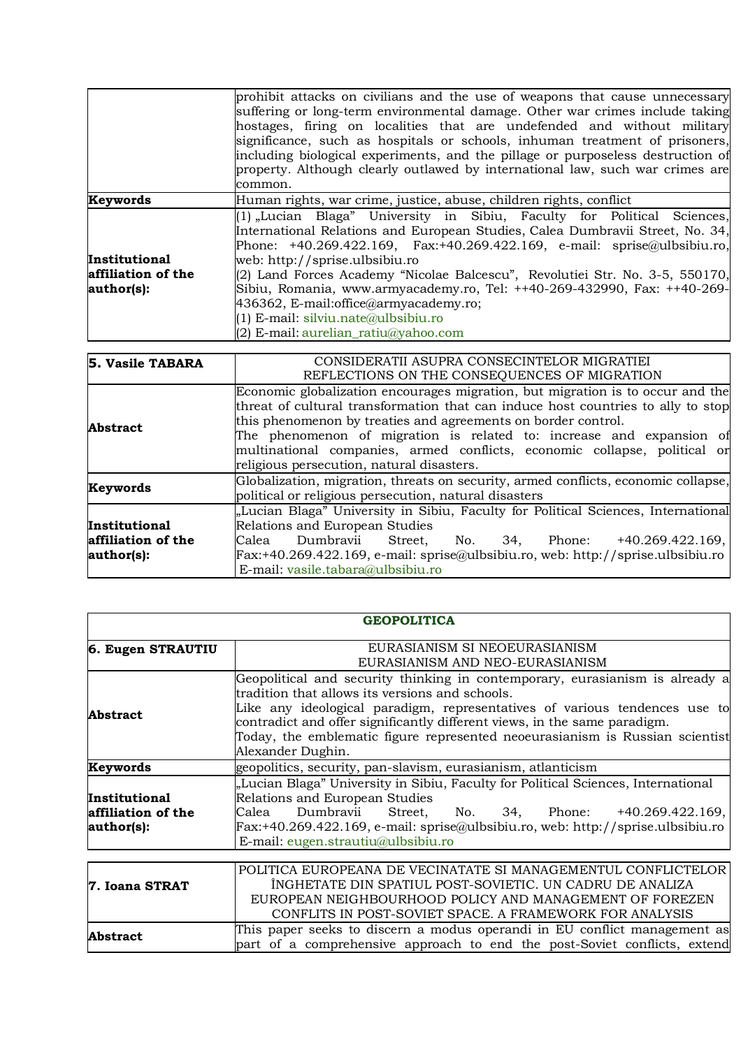|                                                   | prohibit attacks on civilians and the use of weapons that cause unnecessary<br>suffering or long-term environmental damage. Other war crimes include taking<br>hostages, firing on localities that are undefended and without military<br>significance, such as hospitals or schools, inhuman treatment of prisoners,<br>including biological experiments, and the pillage or purposeless destruction of<br>property. Although clearly outlawed by international law, such war crimes are<br>common.                                                                           |
|---------------------------------------------------|--------------------------------------------------------------------------------------------------------------------------------------------------------------------------------------------------------------------------------------------------------------------------------------------------------------------------------------------------------------------------------------------------------------------------------------------------------------------------------------------------------------------------------------------------------------------------------|
| Keywords                                          | Human rights, war crime, justice, abuse, children rights, conflict                                                                                                                                                                                                                                                                                                                                                                                                                                                                                                             |
| Institutional<br>affiliation of the<br>author(s): | (1) "Lucian Blaga" University in Sibiu, Faculty for Political Sciences,<br>International Relations and European Studies, Calea Dumbravii Street, No. 34,<br>Phone: $+40.269.422.169$ , Fax: $+40.269.422.169$ , e-mail: sprise $\omega$ ulbsibiu.ro,<br>web: http://sprise.ulbsibiu.ro<br>(2) Land Forces Academy "Nicolae Balcescu", Revolutiei Str. No. 3-5, 550170,<br>Sibiu, Romania, www.armyacademy.ro, Tel: ++40-269-432990, Fax: ++40-269-<br>436362, E-mail:office@armyacademy.ro;<br>$(1)$ E-mail: silviu.nate@ulbsibiu.ro<br>$(2)$ E-mail: aurelian_ratiu@yahoo.com |

| 5. Vasile TABARA     | CONSIDERATII ASUPRA CONSECINTELOR MIGRATIEI                                        |
|----------------------|------------------------------------------------------------------------------------|
|                      | REFLECTIONS ON THE CONSEQUENCES OF MIGRATION                                       |
|                      | Economic globalization encourages migration, but migration is to occur and the     |
|                      | threat of cultural transformation that can induce host countries to ally to stop   |
| <b>Abstract</b>      | this phenomenon by treaties and agreements on border control.                      |
|                      | The phenomenon of migration is related to: increase and expansion of               |
|                      | multinational companies, armed conflicts, economic collapse, political or          |
|                      | religious persecution, natural disasters.                                          |
| Keywords             | Globalization, migration, threats on security, armed conflicts, economic collapse, |
|                      | political or religious persecution, natural disasters                              |
|                      | "Lucian Blaga" University in Sibiu, Faculty for Political Sciences, International  |
| <b>Institutional</b> | Relations and European Studies                                                     |
| affiliation of the   | Dumbravii<br>Street, No. 34, Phone: +40.269.422.169,<br>Calea                      |
| author(s):           | Fax:+40.269.422.169, e-mail: sprise@ulbsibiu.ro, web: http://sprise.ulbsibiu.ro    |
|                      | E-mail: vasile.tabara@ulbsibiu.ro                                                  |

| <b>GEOPOLITICA</b> |                                                                                                                                                         |
|--------------------|---------------------------------------------------------------------------------------------------------------------------------------------------------|
| 6. Eugen STRAUTIU  | EURASIANISM SI NEOEURASIANISM                                                                                                                           |
|                    | EURASIANISM AND NEO-EURASIANISM                                                                                                                         |
|                    | Geopolitical and security thinking in contemporary, eurasianism is already a<br>tradition that allows its versions and schools.                         |
| <b>Abstract</b>    | Like any ideological paradigm, representatives of various tendences use to<br>contradict and offer significantly different views, in the same paradigm. |
|                    | Today, the emblematic figure represented neoeurasianism is Russian scientist<br>Alexander Dughin.                                                       |
| Keywords           | geopolitics, security, pan-slavism, eurasianism, atlanticism                                                                                            |
|                    | "Lucian Blaga" University in Sibiu, Faculty for Political Sciences, International                                                                       |
| Institutional      | Relations and European Studies                                                                                                                          |
| affiliation of the | Dumbravii<br>No. 34, Phone: +40.269.422.169,<br>Calea<br>Street,                                                                                        |
| author(s):         | Fax:+40.269.422.169, e-mail: sprise@ulbsibiu.ro, web: http://sprise.ulbsibiu.ro                                                                         |
|                    | E-mail: eugen.strautiu@ulbsibiu.ro                                                                                                                      |
|                    |                                                                                                                                                         |
|                    | POLITICA EUROPEANA DE VECINATATE SI MANAGEMENTUL CONFLICTELOR                                                                                           |
| 7. Ioana STRAT     | INGHETATE DIN SPATIUL POST-SOVIETIC. UN CADRU DE ANALIZA                                                                                                |
|                    | EUROPEAN NEIGHBOURHOOD POLICY AND MANAGEMENT OF FOREZEN                                                                                                 |
|                    | CONFLITS IN POST-SOVIET SPACE. A FRAMEWORK FOR ANALYSIS                                                                                                 |
| <b>Abstract</b>    | This paper seeks to discern a modus operandi in EU conflict management as                                                                               |
|                    | part of a comprehensive approach to end the post-Soviet conflicts, extend                                                                               |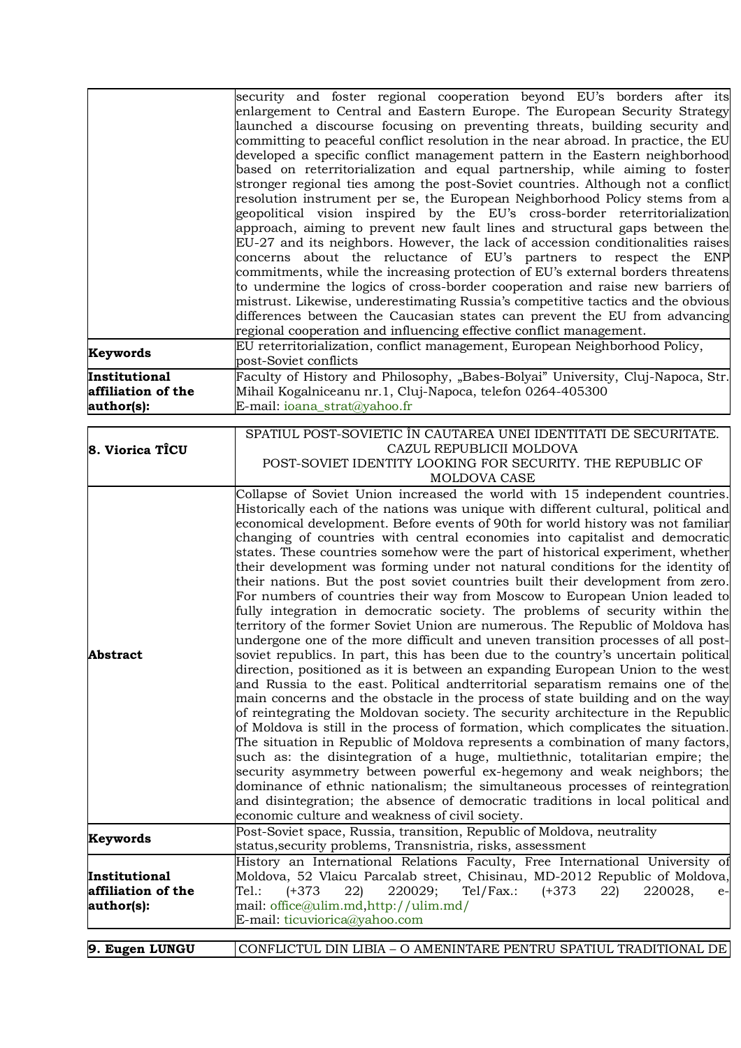|                                                   | security and foster regional cooperation beyond EU's borders after its<br>enlargement to Central and Eastern Europe. The European Security Strategy<br>launched a discourse focusing on preventing threats, building security and<br>committing to peaceful conflict resolution in the near abroad. In practice, the EU<br>developed a specific conflict management pattern in the Eastern neighborhood<br>based on reterritorialization and equal partnership, while aiming to foster<br>stronger regional ties among the post-Soviet countries. Although not a conflict<br>resolution instrument per se, the European Neighborhood Policy stems from a<br>geopolitical vision inspired by the EU's cross-border reterritorialization<br>approach, aiming to prevent new fault lines and structural gaps between the<br>EU-27 and its neighbors. However, the lack of accession conditionalities raises<br>concerns about the reluctance of EU's partners to respect the ENP<br>commitments, while the increasing protection of EU's external borders threatens<br>to undermine the logics of cross-border cooperation and raise new barriers of<br>mistrust. Likewise, underestimating Russia's competitive tactics and the obvious<br>differences between the Caucasian states can prevent the EU from advancing<br>regional cooperation and influencing effective conflict management.<br>EU reterritorialization, conflict management, European Neighborhood Policy,                                                                                                                                                                                                                                                                                                                                                                                                                                               |
|---------------------------------------------------|-------------------------------------------------------------------------------------------------------------------------------------------------------------------------------------------------------------------------------------------------------------------------------------------------------------------------------------------------------------------------------------------------------------------------------------------------------------------------------------------------------------------------------------------------------------------------------------------------------------------------------------------------------------------------------------------------------------------------------------------------------------------------------------------------------------------------------------------------------------------------------------------------------------------------------------------------------------------------------------------------------------------------------------------------------------------------------------------------------------------------------------------------------------------------------------------------------------------------------------------------------------------------------------------------------------------------------------------------------------------------------------------------------------------------------------------------------------------------------------------------------------------------------------------------------------------------------------------------------------------------------------------------------------------------------------------------------------------------------------------------------------------------------------------------------------------------------------------------------------------------------------------------------------------------|
| Keywords                                          | post-Soviet conflicts                                                                                                                                                                                                                                                                                                                                                                                                                                                                                                                                                                                                                                                                                                                                                                                                                                                                                                                                                                                                                                                                                                                                                                                                                                                                                                                                                                                                                                                                                                                                                                                                                                                                                                                                                                                                                                                                                                   |
| Institutional<br>affiliation of the<br>author(s): | Faculty of History and Philosophy, "Babes-Bolyai" University, Cluj-Napoca, Str.<br>Mihail Kogalniceanu nr.1, Cluj-Napoca, telefon 0264-405300<br>E-mail: ioana_strat@yahoo.fr                                                                                                                                                                                                                                                                                                                                                                                                                                                                                                                                                                                                                                                                                                                                                                                                                                                                                                                                                                                                                                                                                                                                                                                                                                                                                                                                                                                                                                                                                                                                                                                                                                                                                                                                           |
| 8. Viorica TICU                                   | SPATIUL POST-SOVIETIC ÎN CAUTAREA UNEI IDENTITATI DE SECURITATE.<br>CAZUL REPUBLICII MOLDOVA<br>POST-SOVIET IDENTITY LOOKING FOR SECURITY. THE REPUBLIC OF<br>MOLDOVA CASE                                                                                                                                                                                                                                                                                                                                                                                                                                                                                                                                                                                                                                                                                                                                                                                                                                                                                                                                                                                                                                                                                                                                                                                                                                                                                                                                                                                                                                                                                                                                                                                                                                                                                                                                              |
| <b>Abstract</b>                                   | Collapse of Soviet Union increased the world with 15 independent countries.<br>Historically each of the nations was unique with different cultural, political and<br>economical development. Before events of 90th for world history was not familiar<br>changing of countries with central economies into capitalist and democratic<br>states. These countries somehow were the part of historical experiment, whether<br>their development was forming under not natural conditions for the identity of<br>their nations. But the post soviet countries built their development from zero.<br>For numbers of countries their way from Moscow to European Union leaded to<br>fully integration in democratic society. The problems of security within the<br>territory of the former Soviet Union are numerous. The Republic of Moldova has<br>undergone one of the more difficult and uneven transition processes of all post-<br>soviet republics. In part, this has been due to the country's uncertain political<br>direction, positioned as it is between an expanding European Union to the west<br>and Russia to the east. Political andterritorial separatism remains one of the<br>main concerns and the obstacle in the process of state building and on the way<br>of reintegrating the Moldovan society. The security architecture in the Republic<br>of Moldova is still in the process of formation, which complicates the situation.<br>The situation in Republic of Moldova represents a combination of many factors,<br>such as: the disintegration of a huge, multiethnic, totalitarian empire; the<br>security asymmetry between powerful ex-hegemony and weak neighbors; the<br>dominance of ethnic nationalism; the simultaneous processes of reintegration<br>and disintegration; the absence of democratic traditions in local political and<br>economic culture and weakness of civil society. |
| Keywords                                          | Post-Soviet space, Russia, transition, Republic of Moldova, neutrality<br>status, security problems, Transnistria, risks, assessment                                                                                                                                                                                                                                                                                                                                                                                                                                                                                                                                                                                                                                                                                                                                                                                                                                                                                                                                                                                                                                                                                                                                                                                                                                                                                                                                                                                                                                                                                                                                                                                                                                                                                                                                                                                    |
| Institutional<br>affiliation of the<br>author(s): | History an International Relations Faculty, Free International University of<br>Moldova, 52 Vlaicu Parcalab street, Chisinau, MD-2012 Republic of Moldova,<br>$Tel.$ :<br>$(+373)$<br>220029;<br>$Tel/Fax$ .:<br>$(+373)$<br>22)<br>220028,<br>22)<br>$e-$<br>mail: office@ulim.md,http://ulim.md/<br>E-mail: ticuviorica@yahoo.com                                                                                                                                                                                                                                                                                                                                                                                                                                                                                                                                                                                                                                                                                                                                                                                                                                                                                                                                                                                                                                                                                                                                                                                                                                                                                                                                                                                                                                                                                                                                                                                     |
|                                                   |                                                                                                                                                                                                                                                                                                                                                                                                                                                                                                                                                                                                                                                                                                                                                                                                                                                                                                                                                                                                                                                                                                                                                                                                                                                                                                                                                                                                                                                                                                                                                                                                                                                                                                                                                                                                                                                                                                                         |
| 9. Eugen LUNGU                                    | CONFLICTUL DIN LIBIA - O AMENINTARE PENTRU SPATIUL TRADITIONAL DE                                                                                                                                                                                                                                                                                                                                                                                                                                                                                                                                                                                                                                                                                                                                                                                                                                                                                                                                                                                                                                                                                                                                                                                                                                                                                                                                                                                                                                                                                                                                                                                                                                                                                                                                                                                                                                                       |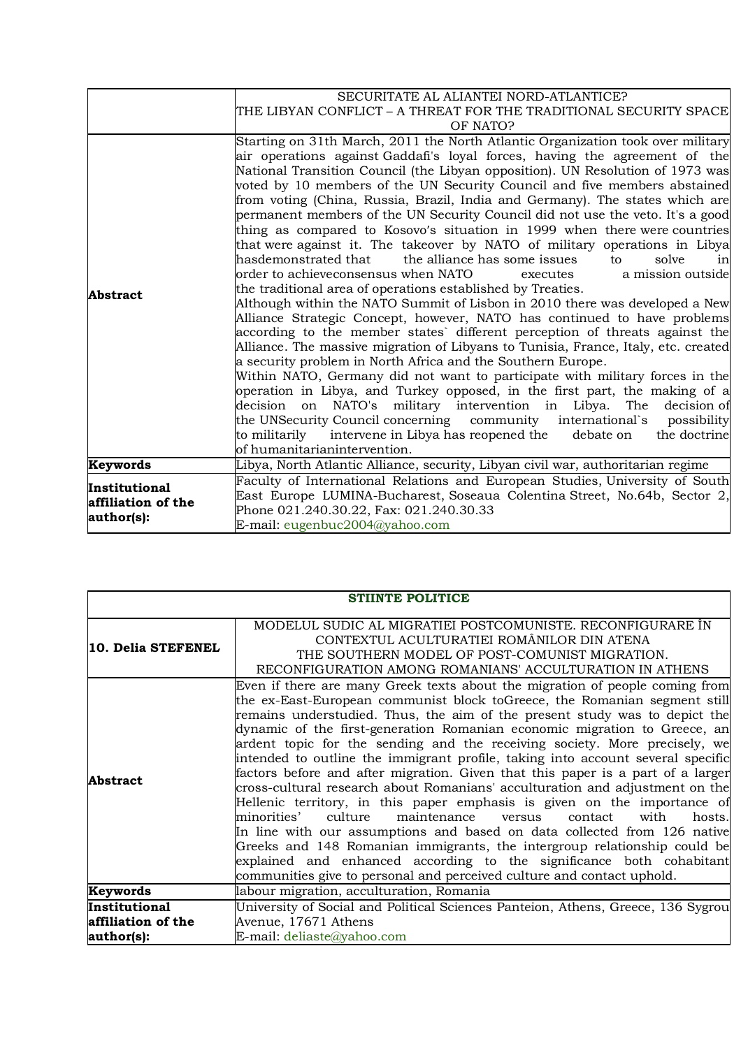|                                                   | SECURITATE AL ALIANTEI NORD-ATLANTICE?                                                                                                                                                                                                                                                                                                                                                                                                                                                                                                                                                                                                                                                                                                                                                                                                                                                                                                                                                                                                                                                                                                                                                                                                                                                                                                                                                                                                                                                                                                                                                                                                                                                                               |
|---------------------------------------------------|----------------------------------------------------------------------------------------------------------------------------------------------------------------------------------------------------------------------------------------------------------------------------------------------------------------------------------------------------------------------------------------------------------------------------------------------------------------------------------------------------------------------------------------------------------------------------------------------------------------------------------------------------------------------------------------------------------------------------------------------------------------------------------------------------------------------------------------------------------------------------------------------------------------------------------------------------------------------------------------------------------------------------------------------------------------------------------------------------------------------------------------------------------------------------------------------------------------------------------------------------------------------------------------------------------------------------------------------------------------------------------------------------------------------------------------------------------------------------------------------------------------------------------------------------------------------------------------------------------------------------------------------------------------------------------------------------------------------|
|                                                   | THE LIBYAN CONFLICT – A THREAT FOR THE TRADITIONAL SECURITY SPACE                                                                                                                                                                                                                                                                                                                                                                                                                                                                                                                                                                                                                                                                                                                                                                                                                                                                                                                                                                                                                                                                                                                                                                                                                                                                                                                                                                                                                                                                                                                                                                                                                                                    |
|                                                   | OF NATO?                                                                                                                                                                                                                                                                                                                                                                                                                                                                                                                                                                                                                                                                                                                                                                                                                                                                                                                                                                                                                                                                                                                                                                                                                                                                                                                                                                                                                                                                                                                                                                                                                                                                                                             |
| Abstract                                          | Starting on 31th March, 2011 the North Atlantic Organization took over military<br>air operations against Gaddafi's loyal forces, having the agreement of the<br>National Transition Council (the Libyan opposition). UN Resolution of 1973 was<br>voted by 10 members of the UN Security Council and five members abstained<br>from voting (China, Russia, Brazil, India and Germany). The states which are<br>permanent members of the UN Security Council did not use the veto. It's a good<br>thing as compared to Kosovo's situation in 1999 when there were countries<br>that were against it. The takeover by NATO of military operations in Libya<br>hasdemonstrated that the alliance has some issues<br>solve<br>to<br>in<br>lorder to achieveconsensus when NATO<br>a mission outside<br>executes<br>the traditional area of operations established by Treaties.<br>Although within the NATO Summit of Lisbon in 2010 there was developed a New<br>Alliance Strategic Concept, however, NATO has continued to have problems<br>according to the member states' different perception of threats against the<br>Alliance. The massive migration of Libyans to Tunisia, France, Italy, etc. created<br>a security problem in North Africa and the Southern Europe.<br>Within NATO, Germany did not want to participate with military forces in the<br>operation in Libya, and Turkey opposed, in the first part, the making of a<br>on NATO's military intervention in Libya. The<br>decision<br>decision of<br>the UNSecurity Council concerning community international's<br>possibility<br>to militarily intervene in Libya has reopened the<br>debate on<br>the doctrine<br>of humanitarianintervention. |
| Keywords                                          | Libya, North Atlantic Alliance, security, Libyan civil war, authoritarian regime                                                                                                                                                                                                                                                                                                                                                                                                                                                                                                                                                                                                                                                                                                                                                                                                                                                                                                                                                                                                                                                                                                                                                                                                                                                                                                                                                                                                                                                                                                                                                                                                                                     |
| Institutional<br>affiliation of the<br>author(s): | Faculty of International Relations and European Studies, University of South<br>East Europe LUMINA-Bucharest, Soseaua Colentina Street, No.64b, Sector 2,<br>Phone 021.240.30.22, Fax: 021.240.30.33<br>E-mail: eugenbuc2004@yahoo.com                                                                                                                                                                                                                                                                                                                                                                                                                                                                                                                                                                                                                                                                                                                                                                                                                                                                                                                                                                                                                                                                                                                                                                                                                                                                                                                                                                                                                                                                               |

| <b>STIINTE POLITICE</b>                           |                                                                                                                                                                                                                                                                                                                                                                                                                                                                                                                                                                                                                                                                                                                                                                                                                                                                                                                                                                                                                                                                                                                                |
|---------------------------------------------------|--------------------------------------------------------------------------------------------------------------------------------------------------------------------------------------------------------------------------------------------------------------------------------------------------------------------------------------------------------------------------------------------------------------------------------------------------------------------------------------------------------------------------------------------------------------------------------------------------------------------------------------------------------------------------------------------------------------------------------------------------------------------------------------------------------------------------------------------------------------------------------------------------------------------------------------------------------------------------------------------------------------------------------------------------------------------------------------------------------------------------------|
| 10. Delia STEFENEL                                | MODELUL SUDIC AL MIGRATIEI POSTCOMUNISTE. RECONFIGURARE IN<br>CONTEXTUL ACULTURATIEI ROMÂNILOR DIN ATENA<br>THE SOUTHERN MODEL OF POST-COMUNIST MIGRATION.<br>RECONFIGURATION AMONG ROMANIANS' ACCULTURATION IN ATHENS                                                                                                                                                                                                                                                                                                                                                                                                                                                                                                                                                                                                                                                                                                                                                                                                                                                                                                         |
| <b>Abstract</b>                                   | Even if there are many Greek texts about the migration of people coming from<br>the ex-East-European communist block toGreece, the Romanian segment still<br>remains understudied. Thus, the aim of the present study was to depict the<br>dynamic of the first-generation Romanian economic migration to Greece, an<br>ardent topic for the sending and the receiving society. More precisely, we<br>intended to outline the immigrant profile, taking into account several specific<br>factors before and after migration. Given that this paper is a part of a larger<br>cross-cultural research about Romanians' acculturation and adjustment on the<br>Hellenic territory, in this paper emphasis is given on the importance of<br>minorities'<br>culture<br>maintenance<br>with<br>versus<br>contact<br>hosts.<br>In line with our assumptions and based on data collected from 126 native<br>Greeks and 148 Romanian immigrants, the intergroup relationship could be<br>explained and enhanced according to the significance both cohabitant<br>communities give to personal and perceived culture and contact uphold. |
| Keywords                                          | labour migration, acculturation, Romania                                                                                                                                                                                                                                                                                                                                                                                                                                                                                                                                                                                                                                                                                                                                                                                                                                                                                                                                                                                                                                                                                       |
| Institutional<br>affiliation of the<br>author(s): | University of Social and Political Sciences Panteion, Athens, Greece, 136 Sygrou<br>Avenue, 17671 Athens<br>E-mail: deliaste@yahoo.com                                                                                                                                                                                                                                                                                                                                                                                                                                                                                                                                                                                                                                                                                                                                                                                                                                                                                                                                                                                         |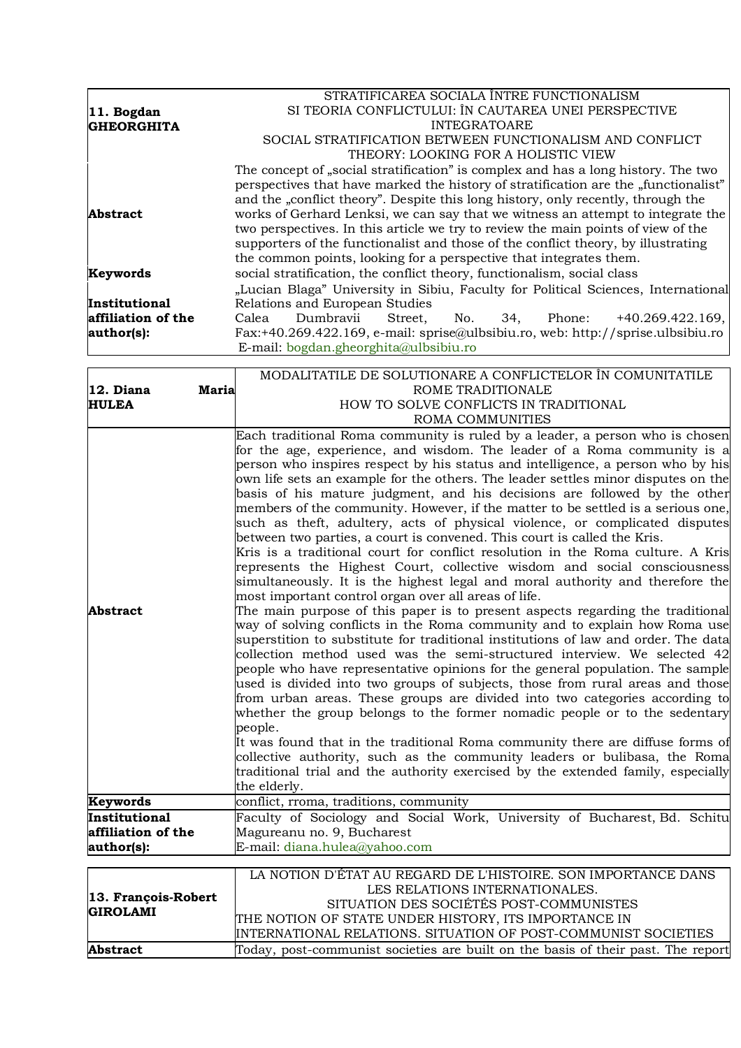|                      | STRATIFICAREA SOCIALA ÎNTRE FUNCTIONALISM                                           |
|----------------------|-------------------------------------------------------------------------------------|
| $ 11.$ Bogdan        | SI TEORIA CONFLICTULUI: ÎN CAUTAREA UNEI PERSPECTIVE                                |
| <b>GHEORGHITA</b>    | <b>INTEGRATOARE</b>                                                                 |
|                      | SOCIAL STRATIFICATION BETWEEN FUNCTIONALISM AND CONFLICT                            |
|                      | THEORY: LOOKING FOR A HOLISTIC VIEW                                                 |
|                      | The concept of "social stratification" is complex and has a long history. The two   |
|                      | perspectives that have marked the history of stratification are the "functionalist" |
|                      | and the "conflict theory". Despite this long history, only recently, through the    |
| <b>Abstract</b>      | works of Gerhard Lenksi, we can say that we witness an attempt to integrate the     |
|                      | two perspectives. In this article we try to review the main points of view of the   |
|                      | supporters of the functionalist and those of the conflict theory, by illustrating   |
|                      | the common points, looking for a perspective that integrates them.                  |
| Keywords             | social stratification, the conflict theory, functionalism, social class             |
|                      | "Lucian Blaga" University in Sibiu, Faculty for Political Sciences, International   |
| <b>Institutional</b> | Relations and European Studies                                                      |
| affiliation of the   | Dumbravii<br>$+40.269.422.169,$<br>Calea<br>Street.<br>No.<br>34, Phone:            |
| author(s):           | Fax:+40.269.422.169, e-mail: sprise@ulbsibiu.ro, web: http://sprise.ulbsibiu.ro     |
|                      | E-mail: bogdan.gheorghita@ulbsibiu.ro                                               |

|                     | MODALITATILE DE SOLUTIONARE A CONFLICTELOR ÎN COMUNITATILE                                                                                                   |
|---------------------|--------------------------------------------------------------------------------------------------------------------------------------------------------------|
| 12. Diana<br>Maria  | ROME TRADITIONALE                                                                                                                                            |
| <b>HULEA</b>        | HOW TO SOLVE CONFLICTS IN TRADITIONAL                                                                                                                        |
|                     | <b>ROMA COMMUNITIES</b>                                                                                                                                      |
|                     | Each traditional Roma community is ruled by a leader, a person who is chosen                                                                                 |
|                     | for the age, experience, and wisdom. The leader of a Roma community is a                                                                                     |
|                     | person who inspires respect by his status and intelligence, a person who by his                                                                              |
|                     | own life sets an example for the others. The leader settles minor disputes on the                                                                            |
|                     | basis of his mature judgment, and his decisions are followed by the other                                                                                    |
|                     | members of the community. However, if the matter to be settled is a serious one,                                                                             |
|                     | such as theft, adultery, acts of physical violence, or complicated disputes                                                                                  |
|                     | between two parties, a court is convened. This court is called the Kris.                                                                                     |
|                     | Kris is a traditional court for conflict resolution in the Roma culture. A Kris                                                                              |
|                     | represents the Highest Court, collective wisdom and social consciousness                                                                                     |
|                     | simultaneously. It is the highest legal and moral authority and therefore the                                                                                |
|                     | most important control organ over all areas of life.                                                                                                         |
| <b>Abstract</b>     | The main purpose of this paper is to present aspects regarding the traditional                                                                               |
|                     | way of solving conflicts in the Roma community and to explain how Roma use                                                                                   |
|                     | superstition to substitute for traditional institutions of law and order. The data                                                                           |
|                     | collection method used was the semi-structured interview. We selected 42                                                                                     |
|                     | people who have representative opinions for the general population. The sample                                                                               |
|                     | used is divided into two groups of subjects, those from rural areas and those<br>from urban areas. These groups are divided into two categories according to |
|                     | whether the group belongs to the former nomadic people or to the sedentary                                                                                   |
|                     | people.                                                                                                                                                      |
|                     | It was found that in the traditional Roma community there are diffuse forms of                                                                               |
|                     | collective authority, such as the community leaders or bulibasa, the Roma                                                                                    |
|                     | traditional trial and the authority exercised by the extended family, especially                                                                             |
|                     | the elderly.                                                                                                                                                 |
| Keywords            | conflict, rroma, traditions, community                                                                                                                       |
| Institutional       | Faculty of Sociology and Social Work, University of Bucharest, Bd. Schitu                                                                                    |
| affiliation of the  | Magureanu no. 9, Bucharest                                                                                                                                   |
| author(s):          | E-mail: diana.hulea@yahoo.com                                                                                                                                |
|                     |                                                                                                                                                              |
|                     | LA NOTION D'ÉTAT AU REGARD DE L'HISTOIRE. SON IMPORTANCE DANS                                                                                                |
| 13. François-Robert | LES RELATIONS INTERNATIONALES.                                                                                                                               |
| <b>GIROLAMI</b>     | SITUATION DES SOCIÉTÉS POST-COMMUNISTES                                                                                                                      |
|                     | THE NOTION OF STATE UNDER HISTORY, ITS IMPORTANCE IN                                                                                                         |
|                     | INTERNATIONAL RELATIONS. SITUATION OF POST-COMMUNIST SOCIETIES                                                                                               |
| <b>Abstract</b>     | Today, post-communist societies are built on the basis of their past. The report                                                                             |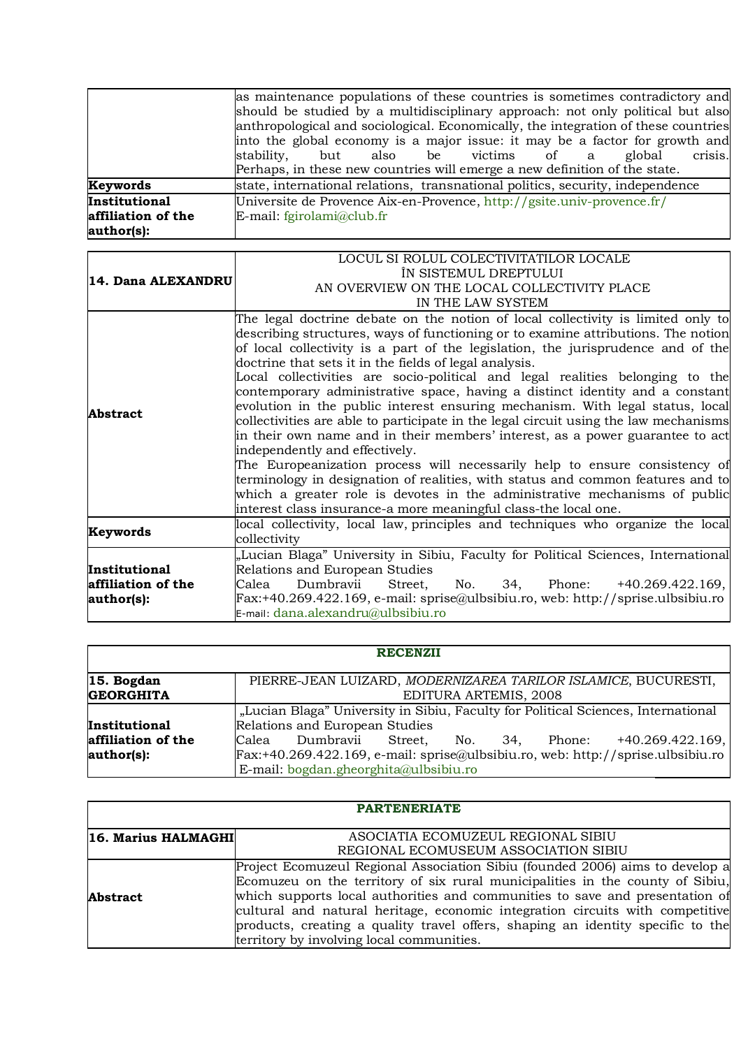|                                                   | as maintenance populations of these countries is sometimes contradictory and<br>should be studied by a multidisciplinary approach: not only political but also<br>anthropological and sociological. Economically, the integration of these countries<br>into the global economy is a major issue: it may be a factor for growth and<br>crisis.<br>also be victims of a<br>stability,<br>global<br>but<br>Perhaps, in these new countries will emerge a new definition of the state. |
|---------------------------------------------------|-------------------------------------------------------------------------------------------------------------------------------------------------------------------------------------------------------------------------------------------------------------------------------------------------------------------------------------------------------------------------------------------------------------------------------------------------------------------------------------|
| Keywords                                          | state, international relations, transnational politics, security, independence                                                                                                                                                                                                                                                                                                                                                                                                      |
| Institutional<br>affiliation of the<br>author(s): | Universite de Provence Aix-en-Provence, http://gsite.univ-provence.fr/<br>E-mail: fgirolami@club.fr                                                                                                                                                                                                                                                                                                                                                                                 |

| 14. Dana ALEXANDRU | LOCUL SI ROLUL COLECTIVITATILOR LOCALE                                               |
|--------------------|--------------------------------------------------------------------------------------|
|                    | ÎN SISTEMUL DREPTULUI                                                                |
|                    | AN OVERVIEW ON THE LOCAL COLLECTIVITY PLACE                                          |
|                    | IN THE LAW SYSTEM                                                                    |
| <b>Abstract</b>    | The legal doctrine debate on the notion of local collectivity is limited only to     |
|                    | describing structures, ways of functioning or to examine attributions. The notion    |
|                    | of local collectivity is a part of the legislation, the jurisprudence and of the     |
|                    | doctrine that sets it in the fields of legal analysis.                               |
|                    | Local collectivities are socio-political and legal realities belonging to the        |
|                    | contemporary administrative space, having a distinct identity and a constant         |
|                    | evolution in the public interest ensuring mechanism. With legal status, local        |
|                    | collectivities are able to participate in the legal circuit using the law mechanisms |
|                    | in their own name and in their members' interest, as a power guarantee to act        |
|                    | independently and effectively.                                                       |
|                    | The Europeanization process will necessarily help to ensure consistency of           |
|                    | terminology in designation of realities, with status and common features and to      |
|                    | which a greater role is devotes in the administrative mechanisms of public           |
|                    | interest class insurance-a more meaningful class-the local one.                      |
| Keywords           | local collectivity, local law, principles and techniques who organize the local      |
|                    | collectivity                                                                         |
|                    | "Lucian Blaga" University in Sibiu, Faculty for Political Sciences, International    |
| Institutional      | Relations and European Studies                                                       |
| affiliation of the | Dumbravii<br>No. 34, Phone: +40.269.422.169,<br>Street,<br>Calea                     |
| author(s):         | $Fx:+40.269.422.169, e-mail: sprise@ulbsibiu.ro, web: http://sprise.ulbsibiu.ro$     |
|                    | $E$ -mail: dana.alexandru@ulbsibiu.ro                                                |

| <b>RECENZII</b>    |                                                                                   |  |
|--------------------|-----------------------------------------------------------------------------------|--|
| $ 15.$ Bogdan      | PIERRE-JEAN LUIZARD, MODERNIZAREA TARILOR ISLAMICE, BUCURESTI,                    |  |
| <b>GEORGHITA</b>   | EDITURA ARTEMIS, 2008                                                             |  |
|                    | "Lucian Blaga" University in Sibiu, Faculty for Political Sciences, International |  |
| Institutional      | Relations and European Studies                                                    |  |
| affiliation of the | Calea Dumbravii<br>Street, No. 34, Phone: +40.269.422.169,                        |  |
| author(s):         | Fax:+40.269.422.169, e-mail: sprise@ulbsibiu.ro, web: http://sprise.ulbsibiu.ro   |  |
|                    | E-mail: bogdan.gheorghita@ulbsibiu.ro                                             |  |

| <b>PARTENERIATE</b>        |                                                                                                                                                                                                                                                                                                                                                                                                                                                                 |  |
|----------------------------|-----------------------------------------------------------------------------------------------------------------------------------------------------------------------------------------------------------------------------------------------------------------------------------------------------------------------------------------------------------------------------------------------------------------------------------------------------------------|--|
| <b>16. Marius HALMAGHI</b> | ASOCIATIA ECOMUZEUL REGIONAL SIBIU<br>REGIONAL ECOMUSEUM ASSOCIATION SIBIU                                                                                                                                                                                                                                                                                                                                                                                      |  |
| <b>Abstract</b>            | Project Ecomuzeul Regional Association Sibiu (founded 2006) aims to develop a<br>Ecomuzeu on the territory of six rural municipalities in the county of Sibiu,<br>which supports local authorities and communities to save and presentation of<br>cultural and natural heritage, economic integration circuits with competitive<br>products, creating a quality travel offers, shaping an identity specific to the<br>territory by involving local communities. |  |